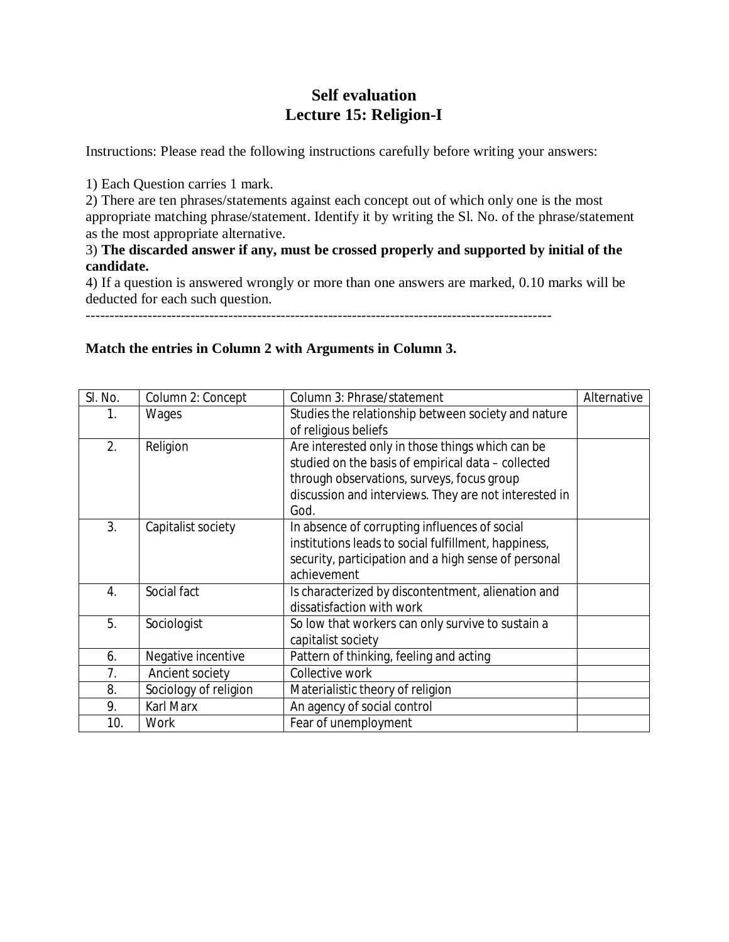# **Self evaluation Lecture 15: Religion-I**

Instructions: Please read the following instructions carefully before writing your answers:

1) Each Question carries 1 mark.

2) There are ten phrases/statements against each concept out of which only one is the most appropriate matching phrase/statement. Identify it by writing the Sl. No. of the phrase/statement as the most appropriate alternative.

## 3) **The discarded answer if any, must be crossed properly and supported by initial of the candidate.**

4) If a question is answered wrongly or more than one answers are marked, 0.10 marks will be deducted for each such question.

--------------------------------------------------------------------------------------------------

## **Match the entries in Column 2 with Arguments in Column 3.**

| SI. No. | Column 2: Concept     | Column 3: Phrase/statement                            | Alternative |
|---------|-----------------------|-------------------------------------------------------|-------------|
| 1.      | Wages                 | Studies the relationship between society and nature   |             |
|         |                       | of religious beliefs                                  |             |
| 2.      | Religion              | Are interested only in those things which can be      |             |
|         |                       | studied on the basis of empirical data - collected    |             |
|         |                       | through observations, surveys, focus group            |             |
|         |                       | discussion and interviews. They are not interested in |             |
|         |                       | God.                                                  |             |
| 3.      | Capitalist society    | In absence of corrupting influences of social         |             |
|         |                       | institutions leads to social fulfillment, happiness,  |             |
|         |                       | security, participation and a high sense of personal  |             |
|         |                       | achievement                                           |             |
| 4.      | Social fact           | Is characterized by discontentment, alienation and    |             |
|         |                       | dissatisfaction with work                             |             |
| 5.      | Sociologist           | So low that workers can only survive to sustain a     |             |
|         |                       | capitalist society                                    |             |
| 6.      | Negative incentive    | Pattern of thinking, feeling and acting               |             |
| 7.      | Ancient society       | Collective work                                       |             |
| 8.      | Sociology of religion | Materialistic theory of religion                      |             |
| 9.      | <b>Karl Marx</b>      | An agency of social control                           |             |
| 10.     | Work                  | Fear of unemployment                                  |             |